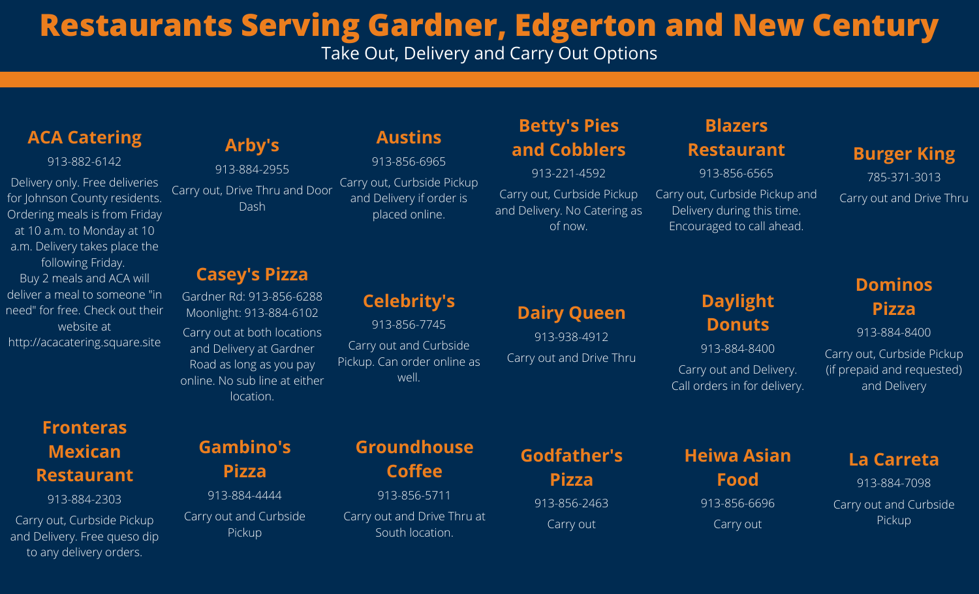# **Restaurants Serving Gardner, Edgerton and New Century**

Take Out, Delivery and Carry Out Options

#### **ACA Catering**

913-882-6142

Delivery only. Free deliveries for Johnson County residents. Ordering meals is from Friday at 10 a.m. to Monday at 10 a.m. Delivery takes place the following Friday. Buy 2 meals and ACA will deliver a meal to someone "in need" for free. Check out their website at http://acacatering.square.site

# **Fronteras Mexican Restaurant**

913-884-2303

Carry out, Curbside Pickup and Delivery. Free queso dip to any delivery orders.

# **Arby's**

913-884-2955 Carry out, Drive Thru and Door Dash

#### **Casey's Pizza**

Gardner Rd: 913-856-6288 Moonlight: 913-884-6102 Carry out at both locations and Delivery at Gardner Road as long as you pay online. No sub line at either location.

# **Austins**

913-856-6965 Carry out, Curbside Pickup and Delivery if order is placed online.

# **Celebrity's**

913-856-7745 Carry out and Curbside Pickup. Can order online as well.

# **Betty's Pies and Cobblers**

913-221-4592

Carry out, Curbside Pickup and Delivery. No Catering as of now.

**Dairy Queen**

913-938-4912

Carry out and Drive Thru

# **Blazers**

#### **Restaurant**

913-856-6565 Carry out, Curbside Pickup and Delivery during this time. Encouraged to call ahead.

#### **Burger King**

785-371-3013 Carry out and Drive Thru

### **Daylight Donuts**

913-884-8400 Carry out and Delivery. Call orders in for delivery.

#### **Dominos Pizza**

913-884-8400

Carry out, Curbside Pickup (if prepaid and requested) and Delivery

**Gambino's Pizza**

913-884-4444 Carry out and Curbside Pickup

**Groundhouse Coffee** 913-856-5711 Carry out and Drive Thru at

South location.

**Godfather's Pizza** 913-856-2463 Carry out

**Heiwa Asian Food** 913-856-6696 Carry out

#### **La Carreta**

913-884-7098 Carry out and Curbside Pickup